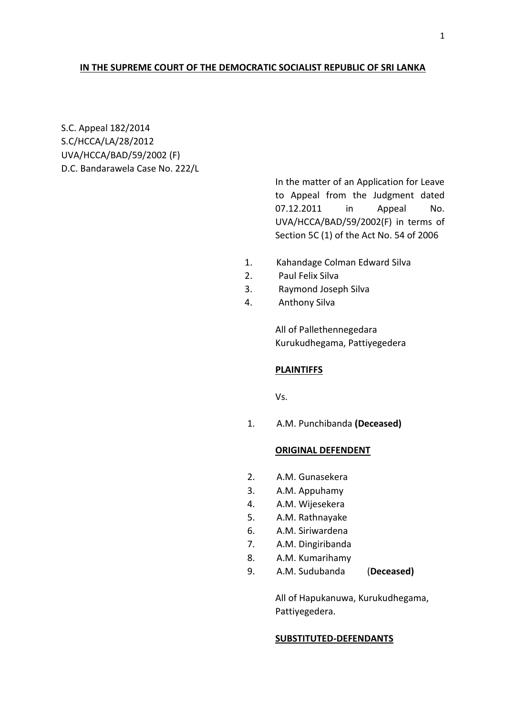#### **IN THE SUPREME COURT OF THE DEMOCRATIC SOCIALIST REPUBLIC OF SRI LANKA**

S.C. Appeal 182/2014 S.C/HCCA/LA/28/2012 UVA/HCCA/BAD/59/2002 (F) D.C. Bandarawela Case No. 222/L

> In the matter of an Application for Leave to Appeal from the Judgment dated 07.12.2011 in Appeal No. UVA/HCCA/BAD/59/2002(F) in terms of Section 5C (1) of the Act No. 54 of 2006

- 1. Kahandage Colman Edward Silva
- 2. Paul Felix Silva
- 3. Raymond Joseph Silva
- 4. Anthony Silva

All of Pallethennegedara Kurukudhegama, Pattiyegedera

#### **PLAINTIFFS**

Vs.

1. A.M. Punchibanda **(Deceased)**

### **ORIGINAL DEFENDENT**

- 2. A.M. Gunasekera
- 3. A.M. Appuhamy
- 4. A.M. Wijesekera
- 5. A.M. Rathnayake
- 6. A.M. Siriwardena
- 7. A.M. Dingiribanda
- 8. A.M. Kumarihamy
- 9. A.M. Sudubanda (**Deceased)**

All of Hapukanuwa, Kurukudhegama, Pattiyegedera.

#### **SUBSTITUTED-DEFENDANTS**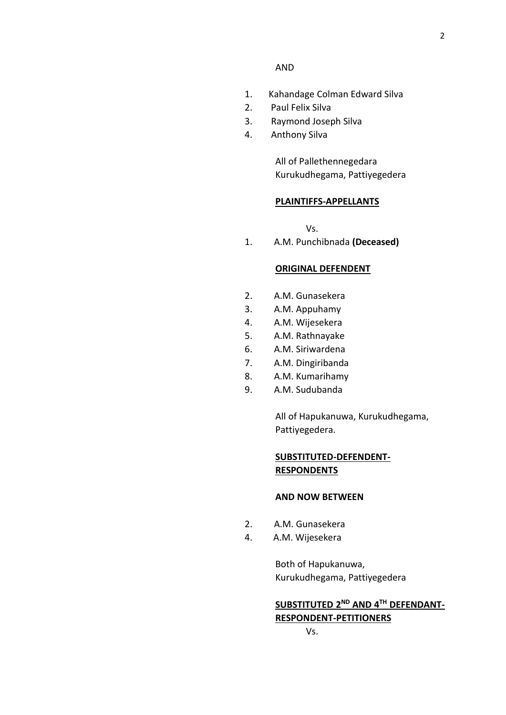#### AND

- 1. Kahandage Colman Edward Silva
- 2. Paul Felix Silva
- 3. Raymond Joseph Silva
- 4. Anthony Silva

All of Pallethennegedara Kurukudhegama, Pattiyegedera

#### **PLAINTIFFS-APPELLANTS**

Vs.

1. A.M. Punchibnada **(Deceased)**

#### **ORIGINAL DEFENDENT**

- 2. A.M. Gunasekera
- 3. A.M. Appuhamy
- 4. A.M. Wijesekera
- 5. A.M. Rathnayake
- 6. A.M. Siriwardena
- 7. A.M. Dingiribanda
- 8. A.M. Kumarihamy
- 9. A.M. Sudubanda

All of Hapukanuwa, Kurukudhegama, Pattiyegedera.

## **SUBSTITUTED-DEFENDENT-RESPONDENTS**

### **AND NOW BETWEEN**

- 2. A.M. Gunasekera
- 4. A.M. Wijesekera

Both of Hapukanuwa, Kurukudhegama, Pattiyegedera

# **SUBSTITUTED 2ND AND 4TH DEFENDANT-RESPONDENT-PETITIONERS**

Vs.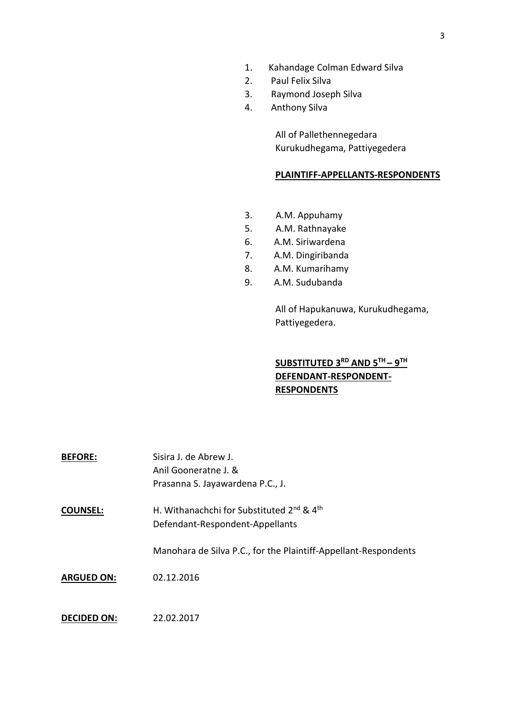- 1. Kahandage Colman Edward Silva
- 2. Paul Felix Silva
- 3. Raymond Joseph Silva
- 4. Anthony Silva

All of Pallethennegedara Kurukudhegama, Pattiyegedera

## **PLAINTIFF-APPELLANTS-RESPONDENTS**

- 3. A.M. Appuhamy
- 5. A.M. Rathnayake
- 6. A.M. Siriwardena
- 7. A.M. Dingiribanda
- 8. A.M. Kumarihamy
- 9. A.M. Sudubanda

All of Hapukanuwa, Kurukudhegama, Pattiyegedera.

## **SUBSTITUTED 3RD AND 5TH – 9 TH DEFENDANT-RESPONDENT-RESPONDENTS**

| <b>BEFORE:</b>     | Sisira J. de Abrew J.                                             |
|--------------------|-------------------------------------------------------------------|
|                    | Anil Gooneratne J. &                                              |
|                    | Prasanna S. Jayawardena P.C., J.                                  |
| <b>COUNSEL:</b>    | H. Withanachchi for Substituted 2 <sup>nd</sup> & 4 <sup>th</sup> |
|                    | Defendant-Respondent-Appellants                                   |
|                    | Manohara de Silva P.C., for the Plaintiff-Appellant-Respondents   |
| <b>ARGUED ON:</b>  | 02.12.2016                                                        |
|                    |                                                                   |
| <b>DECIDED ON:</b> | 22.02.2017                                                        |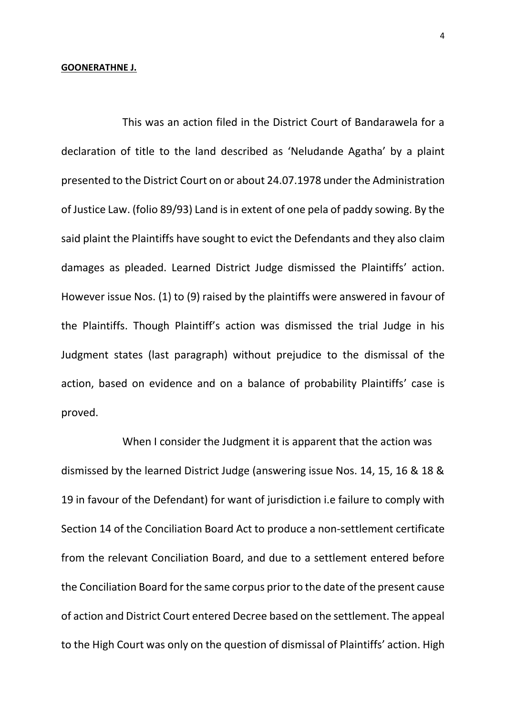#### **GOONERATHNE J.**

This was an action filed in the District Court of Bandarawela for a declaration of title to the land described as 'Neludande Agatha' by a plaint presented to the District Court on or about 24.07.1978 under the Administration of Justice Law. (folio 89/93) Land is in extent of one pela of paddy sowing. By the said plaint the Plaintiffs have sought to evict the Defendants and they also claim damages as pleaded. Learned District Judge dismissed the Plaintiffs' action. However issue Nos. (1) to (9) raised by the plaintiffs were answered in favour of the Plaintiffs. Though Plaintiff's action was dismissed the trial Judge in his Judgment states (last paragraph) without prejudice to the dismissal of the action, based on evidence and on a balance of probability Plaintiffs' case is proved.

When I consider the Judgment it is apparent that the action was dismissed by the learned District Judge (answering issue Nos. 14, 15, 16 & 18 & 19 in favour of the Defendant) for want of jurisdiction i.e failure to comply with Section 14 of the Conciliation Board Act to produce a non-settlement certificate from the relevant Conciliation Board, and due to a settlement entered before the Conciliation Board for the same corpus prior to the date of the present cause of action and District Court entered Decree based on the settlement. The appeal to the High Court was only on the question of dismissal of Plaintiffs' action. High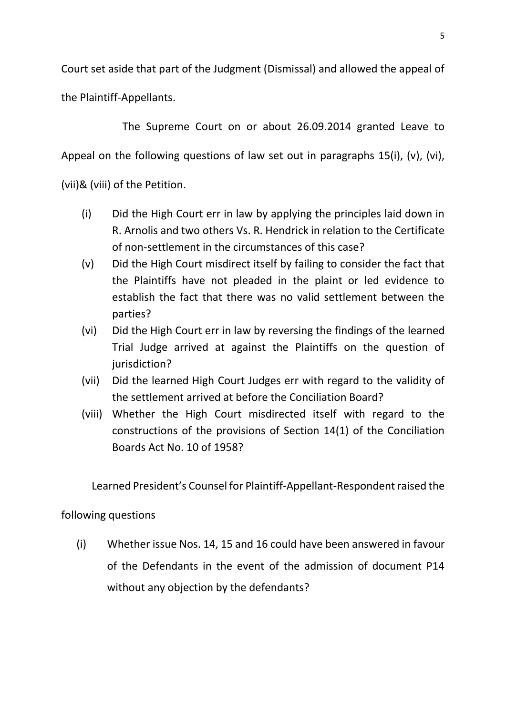Court set aside that part of the Judgment (Dismissal) and allowed the appeal of the Plaintiff-Appellants.

The Supreme Court on or about 26.09.2014 granted Leave to Appeal on the following questions of law set out in paragraphs 15(i), (v), (vi), (vii)& (viii) of the Petition.

- (i) Did the High Court err in law by applying the principles laid down in R. Arnolis and two others Vs. R. Hendrick in relation to the Certificate of non-settlement in the circumstances of this case?
- (v) Did the High Court misdirect itself by failing to consider the fact that the Plaintiffs have not pleaded in the plaint or led evidence to establish the fact that there was no valid settlement between the parties?
- (vi) Did the High Court err in law by reversing the findings of the learned Trial Judge arrived at against the Plaintiffs on the question of jurisdiction?
- (vii) Did the learned High Court Judges err with regard to the validity of the settlement arrived at before the Conciliation Board?
- (viii) Whether the High Court misdirected itself with regard to the constructions of the provisions of Section 14(1) of the Conciliation Boards Act No. 10 of 1958?

Learned President's Counsel for Plaintiff-Appellant-Respondent raised the

# following questions

(i) Whether issue Nos. 14, 15 and 16 could have been answered in favour of the Defendants in the event of the admission of document P14 without any objection by the defendants?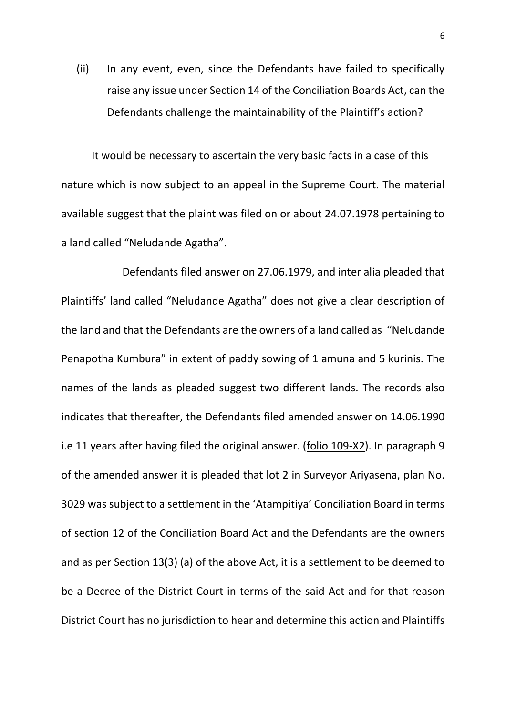(ii) In any event, even, since the Defendants have failed to specifically raise any issue under Section 14 of the Conciliation Boards Act, can the Defendants challenge the maintainability of the Plaintiff's action?

It would be necessary to ascertain the very basic facts in a case of this nature which is now subject to an appeal in the Supreme Court. The material available suggest that the plaint was filed on or about 24.07.1978 pertaining to a land called "Neludande Agatha".

Defendants filed answer on 27.06.1979, and inter alia pleaded that Plaintiffs' land called "Neludande Agatha" does not give a clear description of the land and that the Defendants are the owners of a land called as "Neludande Penapotha Kumbura" in extent of paddy sowing of 1 amuna and 5 kurinis. The names of the lands as pleaded suggest two different lands. The records also indicates that thereafter, the Defendants filed amended answer on 14.06.1990 i.e 11 years after having filed the original answer. (folio 109-X2). In paragraph 9 of the amended answer it is pleaded that lot 2 in Surveyor Ariyasena, plan No. 3029 was subject to a settlement in the 'Atampitiya' Conciliation Board in terms of section 12 of the Conciliation Board Act and the Defendants are the owners and as per Section 13(3) (a) of the above Act, it is a settlement to be deemed to be a Decree of the District Court in terms of the said Act and for that reason District Court has no jurisdiction to hear and determine this action and Plaintiffs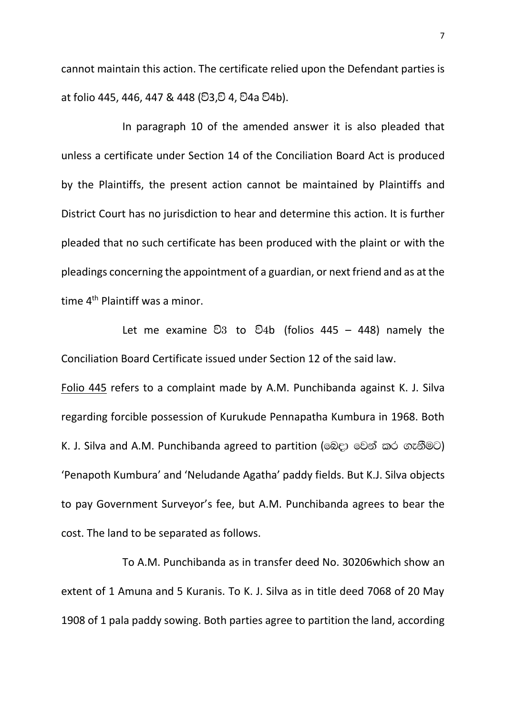cannot maintain this action. The certificate relied upon the Defendant parties is at folio 445, 446, 447 & 448 (වි3.වි 4, වි4a වි4b).

In paragraph 10 of the amended answer it is also pleaded that unless a certificate under Section 14 of the Conciliation Board Act is produced by the Plaintiffs, the present action cannot be maintained by Plaintiffs and District Court has no jurisdiction to hear and determine this action. It is further pleaded that no such certificate has been produced with the plaint or with the pleadings concerning the appointment of a guardian, or next friend and as at the time 4<sup>th</sup> Plaintiff was a minor.

Let me examine  $\mathfrak{S}3$  to  $\mathfrak{S}4b$  (folios 445 – 448) namely the Conciliation Board Certificate issued under Section 12 of the said law.

Folio 445 refers to a complaint made by A.M. Punchibanda against K. J. Silva regarding forcible possession of Kurukude Pennapatha Kumbura in 1968. Both K. J. Silva and A.M. Punchibanda agreed to partition (බෙදා වෙන් කර ගැනීමට) 'Penapoth Kumbura' and 'Neludande Agatha' paddy fields. But K.J. Silva objects to pay Government Surveyor's fee, but A.M. Punchibanda agrees to bear the cost. The land to be separated as follows.

To A.M. Punchibanda as in transfer deed No. 30206which show an extent of 1 Amuna and 5 Kuranis. To K. J. Silva as in title deed 7068 of 20 May 1908 of 1 pala paddy sowing. Both parties agree to partition the land, according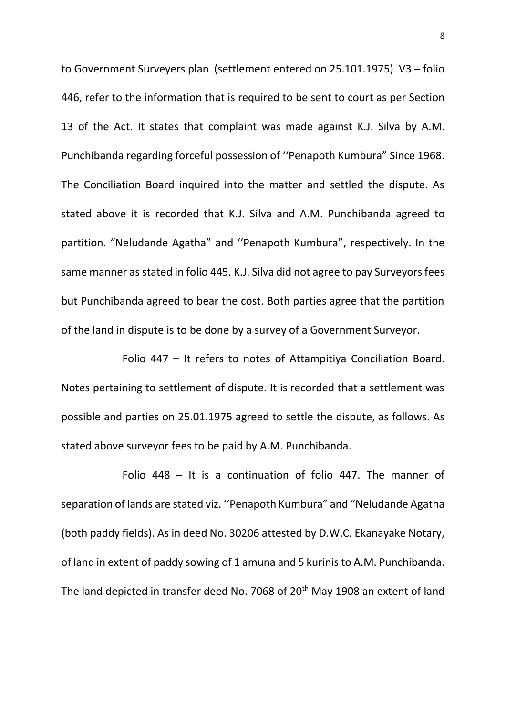to Government Surveyers plan (settlement entered on 25.101.1975) V3 – folio 446, refer to the information that is required to be sent to court as per Section 13 of the Act. It states that complaint was made against K.J. Silva by A.M. Punchibanda regarding forceful possession of ''Penapoth Kumbura" Since 1968. The Conciliation Board inquired into the matter and settled the dispute. As stated above it is recorded that K.J. Silva and A.M. Punchibanda agreed to partition. "Neludande Agatha" and ''Penapoth Kumbura", respectively. In the same manner as stated in folio 445. K.J. Silva did not agree to pay Surveyors fees but Punchibanda agreed to bear the cost. Both parties agree that the partition of the land in dispute is to be done by a survey of a Government Surveyor.

Folio 447 – It refers to notes of Attampitiya Conciliation Board. Notes pertaining to settlement of dispute. It is recorded that a settlement was possible and parties on 25.01.1975 agreed to settle the dispute, as follows. As stated above surveyor fees to be paid by A.M. Punchibanda.

Folio 448 – It is a continuation of folio 447. The manner of separation of lands are stated viz. ''Penapoth Kumbura" and "Neludande Agatha (both paddy fields). As in deed No. 30206 attested by D.W.C. Ekanayake Notary, of land in extent of paddy sowing of 1 amuna and 5 kurinis to A.M. Punchibanda. The land depicted in transfer deed No. 7068 of 20<sup>th</sup> May 1908 an extent of land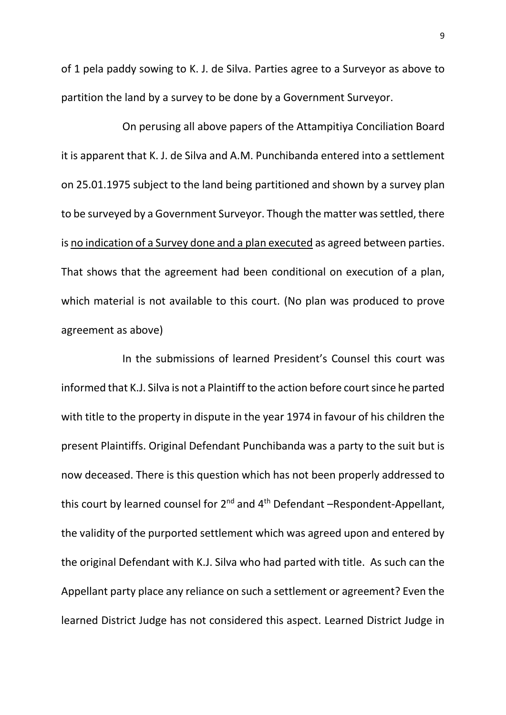of 1 pela paddy sowing to K. J. de Silva. Parties agree to a Surveyor as above to partition the land by a survey to be done by a Government Surveyor.

On perusing all above papers of the Attampitiya Conciliation Board it is apparent that K. J. de Silva and A.M. Punchibanda entered into a settlement on 25.01.1975 subject to the land being partitioned and shown by a survey plan to be surveyed by a Government Surveyor. Though the matter was settled, there is no indication of a Survey done and a plan executed as agreed between parties. That shows that the agreement had been conditional on execution of a plan, which material is not available to this court. (No plan was produced to prove agreement as above)

In the submissions of learned President's Counsel this court was informed that K.J. Silva is not a Plaintiff to the action before court since he parted with title to the property in dispute in the year 1974 in favour of his children the present Plaintiffs. Original Defendant Punchibanda was a party to the suit but is now deceased. There is this question which has not been properly addressed to this court by learned counsel for  $2^{nd}$  and  $4^{th}$  Defendant –Respondent-Appellant, the validity of the purported settlement which was agreed upon and entered by the original Defendant with K.J. Silva who had parted with title. As such can the Appellant party place any reliance on such a settlement or agreement? Even the learned District Judge has not considered this aspect. Learned District Judge in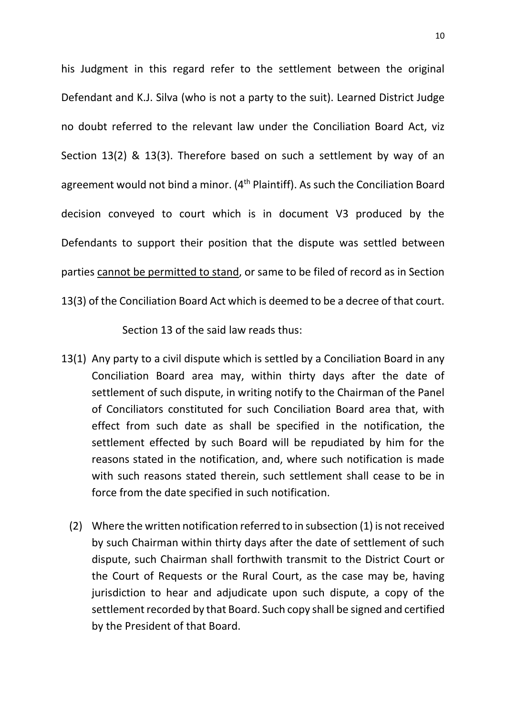his Judgment in this regard refer to the settlement between the original Defendant and K.J. Silva (who is not a party to the suit). Learned District Judge no doubt referred to the relevant law under the Conciliation Board Act, viz Section 13(2) & 13(3). Therefore based on such a settlement by way of an agreement would not bind a minor. (4<sup>th</sup> Plaintiff). As such the Conciliation Board decision conveyed to court which is in document V3 produced by the Defendants to support their position that the dispute was settled between parties cannot be permitted to stand, or same to be filed of record as in Section 13(3) of the Conciliation Board Act which is deemed to be a decree of that court.

Section 13 of the said law reads thus:

- 13(1) Any party to a civil dispute which is settled by a Conciliation Board in any Conciliation Board area may, within thirty days after the date of settlement of such dispute, in writing notify to the Chairman of the Panel of Conciliators constituted for such Conciliation Board area that, with effect from such date as shall be specified in the notification, the settlement effected by such Board will be repudiated by him for the reasons stated in the notification, and, where such notification is made with such reasons stated therein, such settlement shall cease to be in force from the date specified in such notification.
	- (2) Where the written notification referred to in subsection (1) is not received by such Chairman within thirty days after the date of settlement of such dispute, such Chairman shall forthwith transmit to the District Court or the Court of Requests or the Rural Court, as the case may be, having jurisdiction to hear and adjudicate upon such dispute, a copy of the settlement recorded by that Board. Such copy shall be signed and certified by the President of that Board.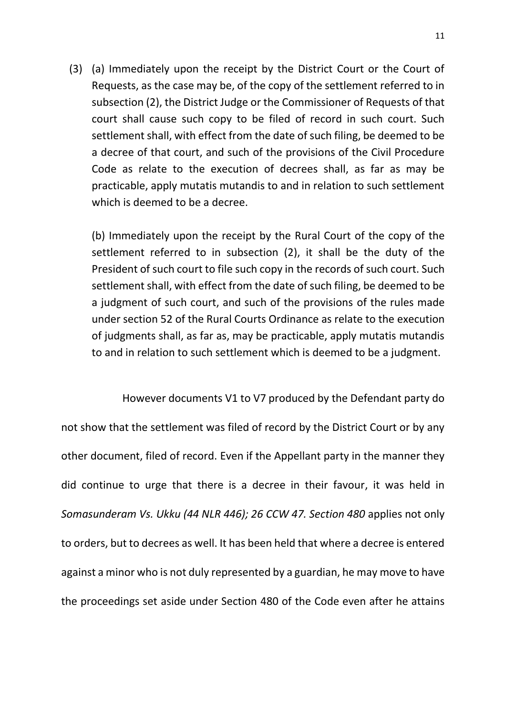(3) (a) Immediately upon the receipt by the District Court or the Court of Requests, as the case may be, of the copy of the settlement referred to in subsection (2), the District Judge or the Commissioner of Requests of that court shall cause such copy to be filed of record in such court. Such settlement shall, with effect from the date of such filing, be deemed to be a decree of that court, and such of the provisions of the Civil Procedure Code as relate to the execution of decrees shall, as far as may be practicable, apply mutatis mutandis to and in relation to such settlement which is deemed to be a decree.

(b) Immediately upon the receipt by the Rural Court of the copy of the settlement referred to in subsection (2), it shall be the duty of the President of such court to file such copy in the records of such court. Such settlement shall, with effect from the date of such filing, be deemed to be a judgment of such court, and such of the provisions of the rules made under section 52 of the Rural Courts Ordinance as relate to the execution of judgments shall, as far as, may be practicable, apply mutatis mutandis to and in relation to such settlement which is deemed to be a judgment.

However documents V1 to V7 produced by the Defendant party do not show that the settlement was filed of record by the District Court or by any other document, filed of record. Even if the Appellant party in the manner they did continue to urge that there is a decree in their favour, it was held in *Somasunderam Vs. Ukku (44 NLR 446); 26 CCW 47. Section 480* applies not only to orders, but to decrees as well. It has been held that where a decree is entered against a minor who is not duly represented by a guardian, he may move to have the proceedings set aside under Section 480 of the Code even after he attains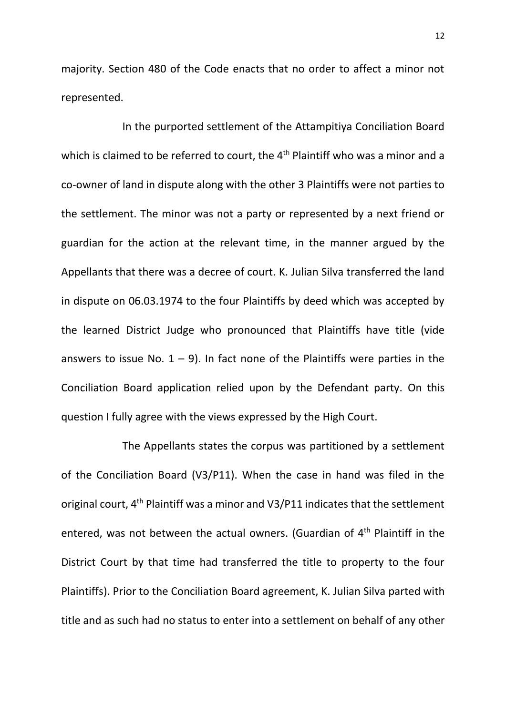majority. Section 480 of the Code enacts that no order to affect a minor not represented.

In the purported settlement of the Attampitiya Conciliation Board which is claimed to be referred to court, the 4<sup>th</sup> Plaintiff who was a minor and a co-owner of land in dispute along with the other 3 Plaintiffs were not parties to the settlement. The minor was not a party or represented by a next friend or guardian for the action at the relevant time, in the manner argued by the Appellants that there was a decree of court. K. Julian Silva transferred the land in dispute on 06.03.1974 to the four Plaintiffs by deed which was accepted by the learned District Judge who pronounced that Plaintiffs have title (vide answers to issue No.  $1 - 9$ ). In fact none of the Plaintiffs were parties in the Conciliation Board application relied upon by the Defendant party. On this question I fully agree with the views expressed by the High Court.

The Appellants states the corpus was partitioned by a settlement of the Conciliation Board (V3/P11). When the case in hand was filed in the original court, 4th Plaintiff was a minor and V3/P11 indicates that the settlement entered, was not between the actual owners. (Guardian of  $4<sup>th</sup>$  Plaintiff in the District Court by that time had transferred the title to property to the four Plaintiffs). Prior to the Conciliation Board agreement, K. Julian Silva parted with title and as such had no status to enter into a settlement on behalf of any other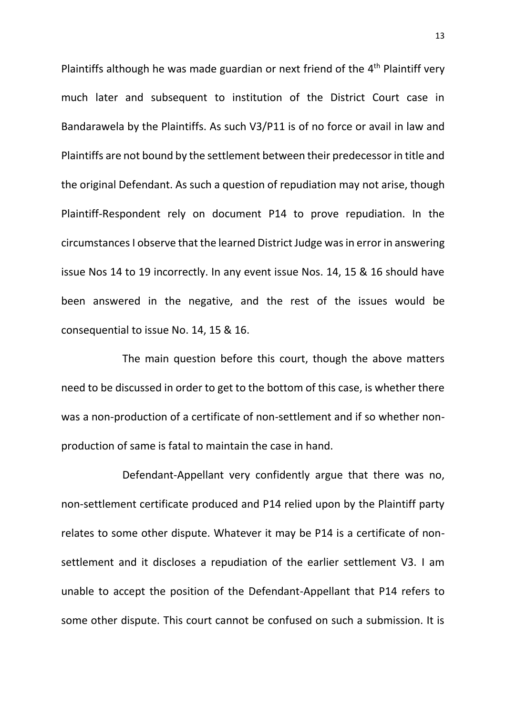Plaintiffs although he was made guardian or next friend of the  $4<sup>th</sup>$  Plaintiff very much later and subsequent to institution of the District Court case in Bandarawela by the Plaintiffs. As such V3/P11 is of no force or avail in law and Plaintiffs are not bound by the settlement between their predecessor in title and the original Defendant. As such a question of repudiation may not arise, though Plaintiff-Respondent rely on document P14 to prove repudiation. In the circumstancesI observe that the learned District Judge was in error in answering issue Nos 14 to 19 incorrectly. In any event issue Nos. 14, 15 & 16 should have been answered in the negative, and the rest of the issues would be consequential to issue No. 14, 15 & 16.

The main question before this court, though the above matters need to be discussed in order to get to the bottom of this case, is whether there was a non-production of a certificate of non-settlement and if so whether nonproduction of same is fatal to maintain the case in hand.

Defendant-Appellant very confidently argue that there was no, non-settlement certificate produced and P14 relied upon by the Plaintiff party relates to some other dispute. Whatever it may be P14 is a certificate of nonsettlement and it discloses a repudiation of the earlier settlement V3. I am unable to accept the position of the Defendant-Appellant that P14 refers to some other dispute. This court cannot be confused on such a submission. It is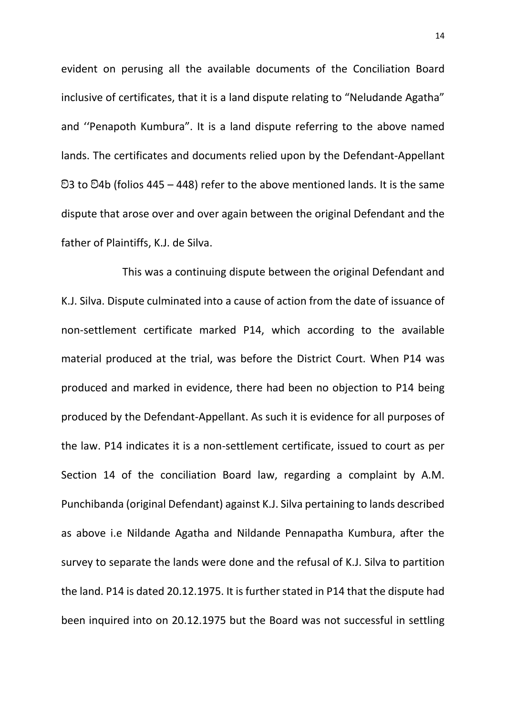evident on perusing all the available documents of the Conciliation Board inclusive of certificates, that it is a land dispute relating to "Neludande Agatha" and ''Penapoth Kumbura". It is a land dispute referring to the above named lands. The certificates and documents relied upon by the Defendant-Appellant  $93$  to  $94b$  (folios 445 – 448) refer to the above mentioned lands. It is the same dispute that arose over and over again between the original Defendant and the father of Plaintiffs, K.J. de Silva.

This was a continuing dispute between the original Defendant and K.J. Silva. Dispute culminated into a cause of action from the date of issuance of non-settlement certificate marked P14, which according to the available material produced at the trial, was before the District Court. When P14 was produced and marked in evidence, there had been no objection to P14 being produced by the Defendant-Appellant. As such it is evidence for all purposes of the law. P14 indicates it is a non-settlement certificate, issued to court as per Section 14 of the conciliation Board law, regarding a complaint by A.M. Punchibanda (original Defendant) against K.J. Silva pertaining to lands described as above i.e Nildande Agatha and Nildande Pennapatha Kumbura, after the survey to separate the lands were done and the refusal of K.J. Silva to partition the land. P14 is dated 20.12.1975. It is further stated in P14 that the dispute had been inquired into on 20.12.1975 but the Board was not successful in settling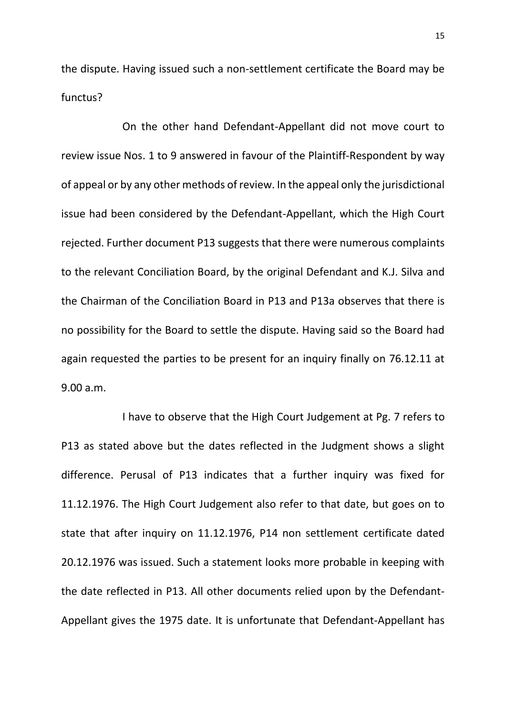the dispute. Having issued such a non-settlement certificate the Board may be functus?

On the other hand Defendant-Appellant did not move court to review issue Nos. 1 to 9 answered in favour of the Plaintiff-Respondent by way of appeal or by any other methods of review. In the appeal only the jurisdictional issue had been considered by the Defendant-Appellant, which the High Court rejected. Further document P13 suggests that there were numerous complaints to the relevant Conciliation Board, by the original Defendant and K.J. Silva and the Chairman of the Conciliation Board in P13 and P13a observes that there is no possibility for the Board to settle the dispute. Having said so the Board had again requested the parties to be present for an inquiry finally on 76.12.11 at 9.00 a.m.

I have to observe that the High Court Judgement at Pg. 7 refers to P13 as stated above but the dates reflected in the Judgment shows a slight difference. Perusal of P13 indicates that a further inquiry was fixed for 11.12.1976. The High Court Judgement also refer to that date, but goes on to state that after inquiry on 11.12.1976, P14 non settlement certificate dated 20.12.1976 was issued. Such a statement looks more probable in keeping with the date reflected in P13. All other documents relied upon by the Defendant-Appellant gives the 1975 date. It is unfortunate that Defendant-Appellant has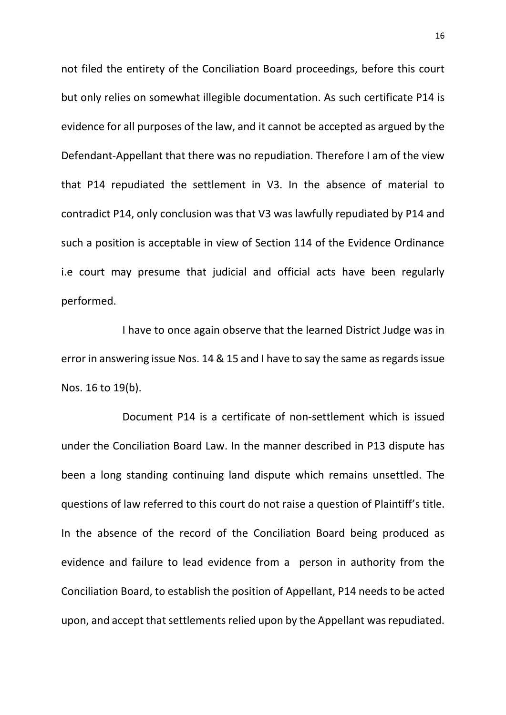not filed the entirety of the Conciliation Board proceedings, before this court but only relies on somewhat illegible documentation. As such certificate P14 is evidence for all purposes of the law, and it cannot be accepted as argued by the Defendant-Appellant that there was no repudiation. Therefore I am of the view that P14 repudiated the settlement in V3. In the absence of material to contradict P14, only conclusion was that V3 was lawfully repudiated by P14 and such a position is acceptable in view of Section 114 of the Evidence Ordinance i.e court may presume that judicial and official acts have been regularly performed.

I have to once again observe that the learned District Judge was in error in answering issue Nos. 14 & 15 and I have to say the same as regards issue Nos. 16 to 19(b).

Document P14 is a certificate of non-settlement which is issued under the Conciliation Board Law. In the manner described in P13 dispute has been a long standing continuing land dispute which remains unsettled. The questions of law referred to this court do not raise a question of Plaintiff's title. In the absence of the record of the Conciliation Board being produced as evidence and failure to lead evidence from a person in authority from the Conciliation Board, to establish the position of Appellant, P14 needs to be acted upon, and accept that settlements relied upon by the Appellant was repudiated.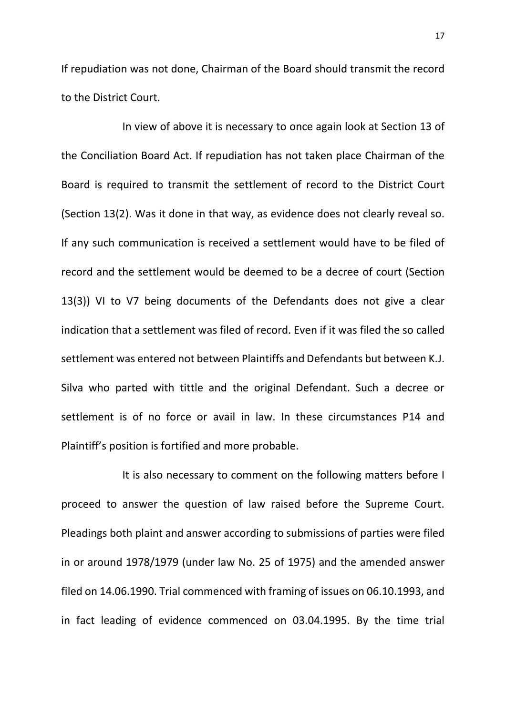If repudiation was not done, Chairman of the Board should transmit the record to the District Court.

In view of above it is necessary to once again look at Section 13 of the Conciliation Board Act. If repudiation has not taken place Chairman of the Board is required to transmit the settlement of record to the District Court (Section 13(2). Was it done in that way, as evidence does not clearly reveal so. If any such communication is received a settlement would have to be filed of record and the settlement would be deemed to be a decree of court (Section 13(3)) VI to V7 being documents of the Defendants does not give a clear indication that a settlement was filed of record. Even if it was filed the so called settlement was entered not between Plaintiffs and Defendants but between K.J. Silva who parted with tittle and the original Defendant. Such a decree or settlement is of no force or avail in law. In these circumstances P14 and Plaintiff's position is fortified and more probable.

It is also necessary to comment on the following matters before I proceed to answer the question of law raised before the Supreme Court. Pleadings both plaint and answer according to submissions of parties were filed in or around 1978/1979 (under law No. 25 of 1975) and the amended answer filed on 14.06.1990. Trial commenced with framing of issues on 06.10.1993, and in fact leading of evidence commenced on 03.04.1995. By the time trial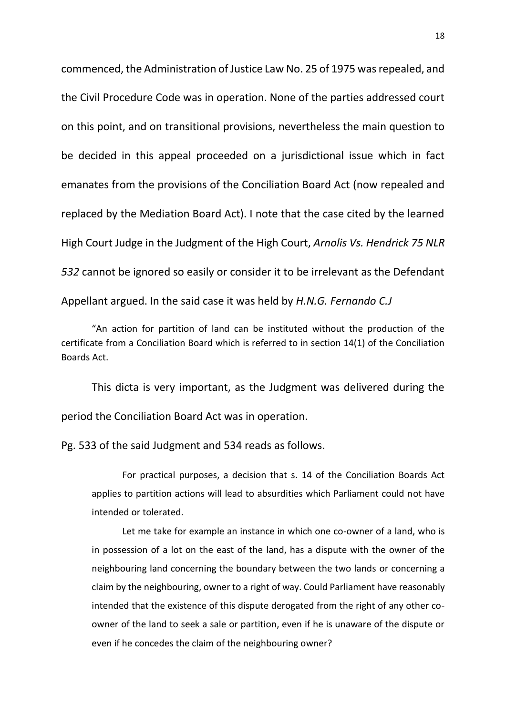commenced, the Administration of Justice Law No. 25 of 1975 was repealed, and the Civil Procedure Code was in operation. None of the parties addressed court on this point, and on transitional provisions, nevertheless the main question to be decided in this appeal proceeded on a jurisdictional issue which in fact emanates from the provisions of the Conciliation Board Act (now repealed and replaced by the Mediation Board Act). I note that the case cited by the learned High Court Judge in the Judgment of the High Court, *Arnolis Vs. Hendrick 75 NLR 532* cannot be ignored so easily or consider it to be irrelevant as the Defendant Appellant argued. In the said case it was held by *H.N.G. Fernando C.J*

"An action for partition of land can be instituted without the production of the certificate from a Conciliation Board which is referred to in section 14(1) of the Conciliation Boards Act.

This dicta is very important, as the Judgment was delivered during the period the Conciliation Board Act was in operation.

Pg. 533 of the said Judgment and 534 reads as follows.

For practical purposes, a decision that s. 14 of the Conciliation Boards Act applies to partition actions will lead to absurdities which Parliament could not have intended or tolerated.

Let me take for example an instance in which one co-owner of a land, who is in possession of a lot on the east of the land, has a dispute with the owner of the neighbouring land concerning the boundary between the two lands or concerning a claim by the neighbouring, owner to a right of way. Could Parliament have reasonably intended that the existence of this dispute derogated from the right of any other coowner of the land to seek a sale or partition, even if he is unaware of the dispute or even if he concedes the claim of the neighbouring owner?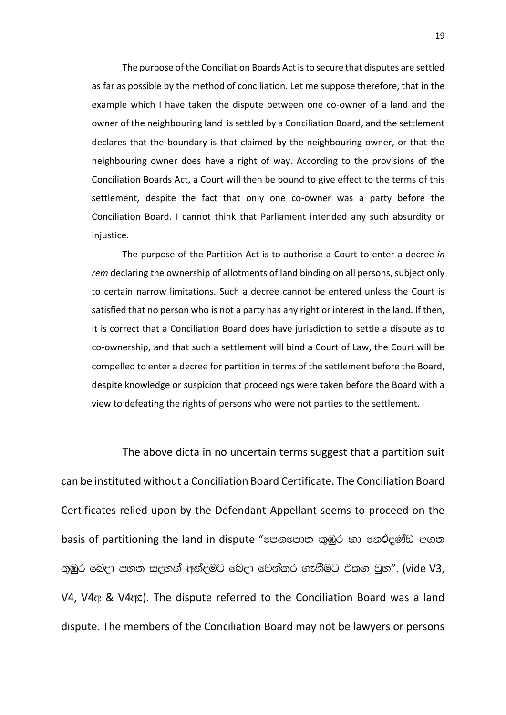The purpose of the Conciliation Boards Act is to secure that disputes are settled as far as possible by the method of conciliation. Let me suppose therefore, that in the example which I have taken the dispute between one co-owner of a land and the owner of the neighbouring land is settled by a Conciliation Board, and the settlement declares that the boundary is that claimed by the neighbouring owner, or that the neighbouring owner does have a right of way. According to the provisions of the Conciliation Boards Act, a Court will then be bound to give effect to the terms of this settlement, despite the fact that only one co-owner was a party before the Conciliation Board. I cannot think that Parliament intended any such absurdity or injustice.

The purpose of the Partition Act is to authorise a Court to enter a decree *in rem* declaring the ownership of allotments of land binding on all persons, subject only to certain narrow limitations. Such a decree cannot be entered unless the Court is satisfied that no person who is not a party has any right or interest in the land. If then, it is correct that a Conciliation Board does have jurisdiction to settle a dispute as to co-ownership, and that such a settlement will bind a Court of Law, the Court will be compelled to enter a decree for partition in terms of the settlement before the Board, despite knowledge or suspicion that proceedings were taken before the Board with a view to defeating the rights of persons who were not parties to the settlement.

The above dicta in no uncertain terms suggest that a partition suit can be instituted without a Conciliation Board Certificate. The Conciliation Board Certificates relied upon by the Defendant-Appellant seems to proceed on the basis of partitioning the land in dispute "පොපොත කුඹුර හා නෙථදණ්ඩ අගත කුඹුර බෙදා පහත සදහන් අන්දමට බෙදා වෙන්කර ගැනීමට එකග වුහ". (vide V3, V4, V4& & V4&z). The dispute referred to the Conciliation Board was a land dispute. The members of the Conciliation Board may not be lawyers or persons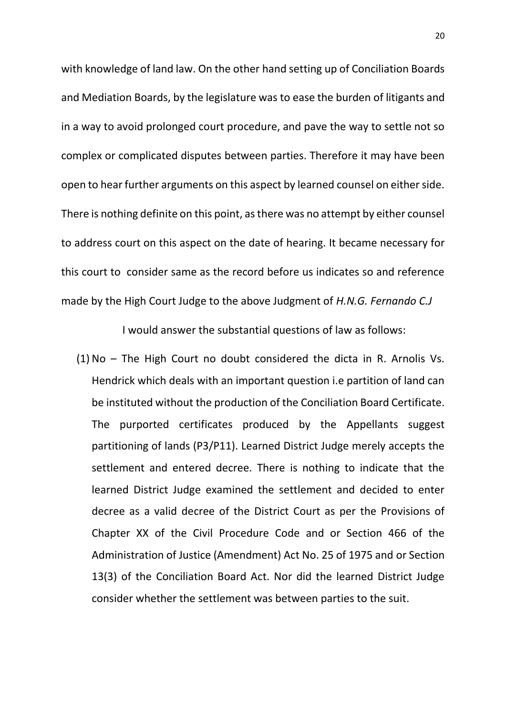with knowledge of land law. On the other hand setting up of Conciliation Boards and Mediation Boards, by the legislature was to ease the burden of litigants and in a way to avoid prolonged court procedure, and pave the way to settle not so complex or complicated disputes between parties. Therefore it may have been open to hear further arguments on this aspect by learned counsel on either side. There is nothing definite on this point, as there was no attempt by either counsel to address court on this aspect on the date of hearing. It became necessary for this court to consider same as the record before us indicates so and reference made by the High Court Judge to the above Judgment of *H.N.G. Fernando C.J*

I would answer the substantial questions of law as follows:

(1) No – The High Court no doubt considered the dicta in R. Arnolis Vs. Hendrick which deals with an important question i.e partition of land can be instituted without the production of the Conciliation Board Certificate. The purported certificates produced by the Appellants suggest partitioning of lands (P3/P11). Learned District Judge merely accepts the settlement and entered decree. There is nothing to indicate that the learned District Judge examined the settlement and decided to enter decree as a valid decree of the District Court as per the Provisions of Chapter XX of the Civil Procedure Code and or Section 466 of the Administration of Justice (Amendment) Act No. 25 of 1975 and or Section 13(3) of the Conciliation Board Act. Nor did the learned District Judge consider whether the settlement was between parties to the suit.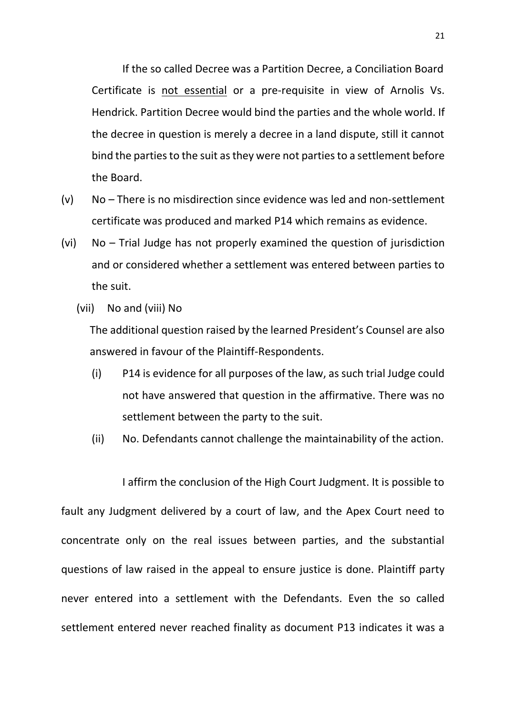If the so called Decree was a Partition Decree, a Conciliation Board Certificate is not essential or a pre-requisite in view of Arnolis Vs. Hendrick. Partition Decree would bind the parties and the whole world. If the decree in question is merely a decree in a land dispute, still it cannot bind the parties to the suit as they were not parties to a settlement before the Board.

- (v) No There is no misdirection since evidence was led and non-settlement certificate was produced and marked P14 which remains as evidence.
- (vi) No Trial Judge has not properly examined the question of jurisdiction and or considered whether a settlement was entered between parties to the suit.
	- (vii) No and (viii) No

The additional question raised by the learned President's Counsel are also answered in favour of the Plaintiff-Respondents.

- (i) P14 is evidence for all purposes of the law, as such trial Judge could not have answered that question in the affirmative. There was no settlement between the party to the suit.
- (ii) No. Defendants cannot challenge the maintainability of the action.

I affirm the conclusion of the High Court Judgment. It is possible to fault any Judgment delivered by a court of law, and the Apex Court need to concentrate only on the real issues between parties, and the substantial questions of law raised in the appeal to ensure justice is done. Plaintiff party never entered into a settlement with the Defendants. Even the so called settlement entered never reached finality as document P13 indicates it was a